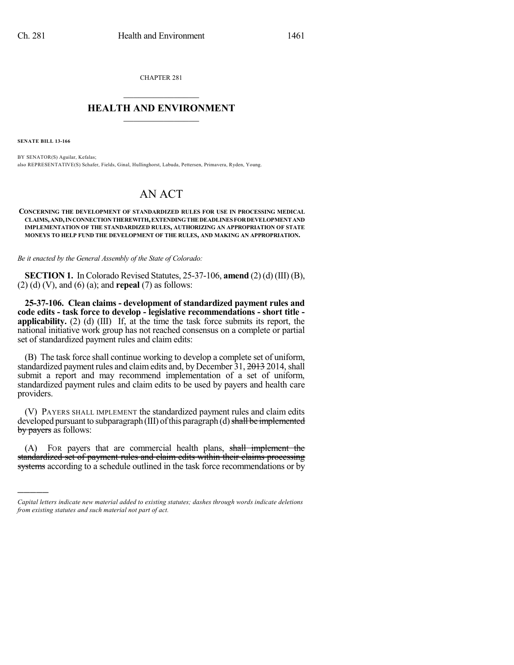CHAPTER 281  $\overline{\phantom{a}}$  . The set of the set of the set of the set of the set of the set of the set of the set of the set of the set of the set of the set of the set of the set of the set of the set of the set of the set of the set o

## **HEALTH AND ENVIRONMENT**  $\_$

**SENATE BILL 13-166**

)))))

BY SENATOR(S) Aguilar, Kefalas; also REPRESENTATIVE(S) Schafer, Fields, Ginal, Hullinghorst, Labuda, Pettersen, Primavera, Ryden, Young.

## AN ACT

**CONCERNING THE DEVELOPMENT OF STANDARDIZED RULES FOR USE IN PROCESSING MEDICAL CLAIMS,AND,INCONNECTIONTHEREWITH,EXTENDINGTHE DEADLINESFORDEVELOPMENT AND IMPLEMENTATION OF THE STANDARDIZED RULES, AUTHORIZING AN APPROPRIATION OF STATE MONEYS TO HELP FUND THE DEVELOPMENT OF THE RULES, AND MAKING AN APPROPRIATION.**

*Be it enacted by the General Assembly of the State of Colorado:*

**SECTION 1.** In Colorado Revised Statutes, 25-37-106, **amend** (2) (d) (III) (B), (2) (d) (V), and (6) (a); and **repeal** (7) as follows:

**25-37-106. Clean claims - development of standardized payment rules and code edits - task force to develop - legislative recommendations - short title applicability.** (2) (d) (III) If, at the time the task force submits its report, the national initiative work group has not reached consensus on a complete or partial set of standardized payment rules and claim edits:

(B) The task force shall continue working to develop a complete set of uniform, standardized payment rules and claim edits and, by December 31, 2013 2014, shall submit a report and may recommend implementation of a set of uniform, standardized payment rules and claim edits to be used by payers and health care providers.

(V) PAYERS SHALL IMPLEMENT the standardized payment rules and claim edits developed pursuant to subparagraph  $(III)$  of this paragraph  $(d)$  shall be implemented by payers as follows:

(A) FOR payers that are commercial health plans, shall implement the standardized set of payment rules and claim edits within their claims processing systems according to a schedule outlined in the task force recommendations or by

*Capital letters indicate new material added to existing statutes; dashes through words indicate deletions from existing statutes and such material not part of act.*